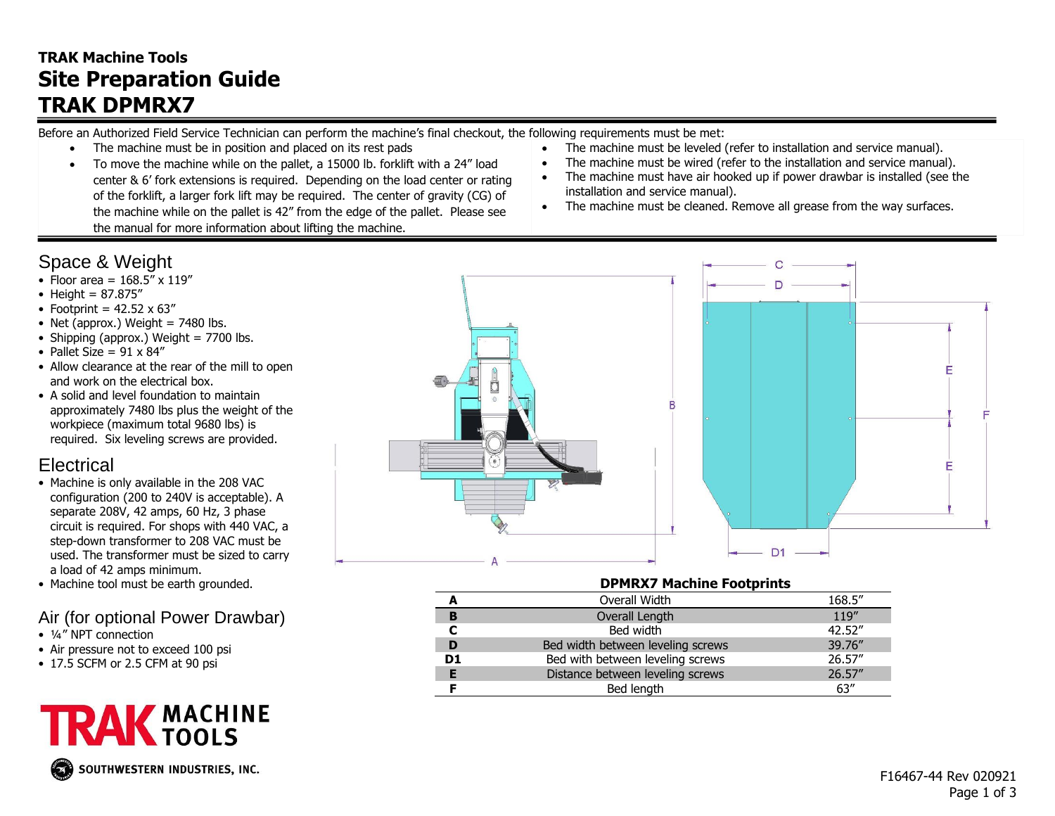## **TRAK Machine Tools Site Preparation Guide TRAK DPMRX7**

Before an Authorized Field Service Technician can perform the machine's final checkout, the following requirements must be met:

- The machine must be in position and placed on its rest pads
- To move the machine while on the pallet, a 15000 lb. forklift with a 24" load center & 6' fork extensions is required. Depending on the load center or rating of the forklift, a larger fork lift may be required. The center of gravity (CG) of the machine while on the pallet is 42" from the edge of the pallet. Please see the manual for more information about lifting the machine.
- The machine must be leveled (refer to installation and service manual).
- The machine must be wired (refer to the installation and service manual).
- The machine must have air hooked up if power drawbar is installed (see the installation and service manual).
- The machine must be cleaned. Remove all grease from the way surfaces.

# Space & Weight

- Floor area =  $168.5'' \times 119''$
- Height = 87.875"
- Footprint =  $42.52 \times 63''$
- Net (approx.) Weight  $= 7480$  lbs.
- Shipping (approx.) Weight  $= 7700$  lbs.
- Pallet Size =  $91 \times 84$ "
- Allow clearance at the rear of the mill to open and work on the electrical box.
- A solid and level foundation to maintain approximately 7480 lbs plus the weight of the workpiece (maximum total 9680 lbs) is required. Six leveling screws are provided.

## **Electrical**

- Machine is only available in the 208 VAC configuration (200 to 240V is acceptable). A separate 208V, 42 amps, 60 Hz, 3 phase circuit is required. For shops with 440 VAC, a step-down transformer to 208 VAC must be used. The transformer must be sized to carry a load of 42 amps minimum.
- Machine tool must be earth grounded.

### Air (for optional Power Drawbar)

- ¼" NPT connection
- Air pressure not to exceed 100 psi
- 17.5 SCFM or 2.5 CFM at 90 psi



SOUTHWESTERN INDUSTRIES, INC.



#### **DPMRX7 Machine Footprints**

|                | Overall Width                     | 168.5"  |
|----------------|-----------------------------------|---------|
| B              | Overall Length                    | 119"    |
|                | Bed width                         | 42.52"  |
|                | Bed width between leveling screws | 39.76"  |
| D <sub>1</sub> | Bed with between leveling screws  | 26.57"  |
| Е              | Distance between leveling screws  | 26.57'' |
|                | Bed length                        | 63''    |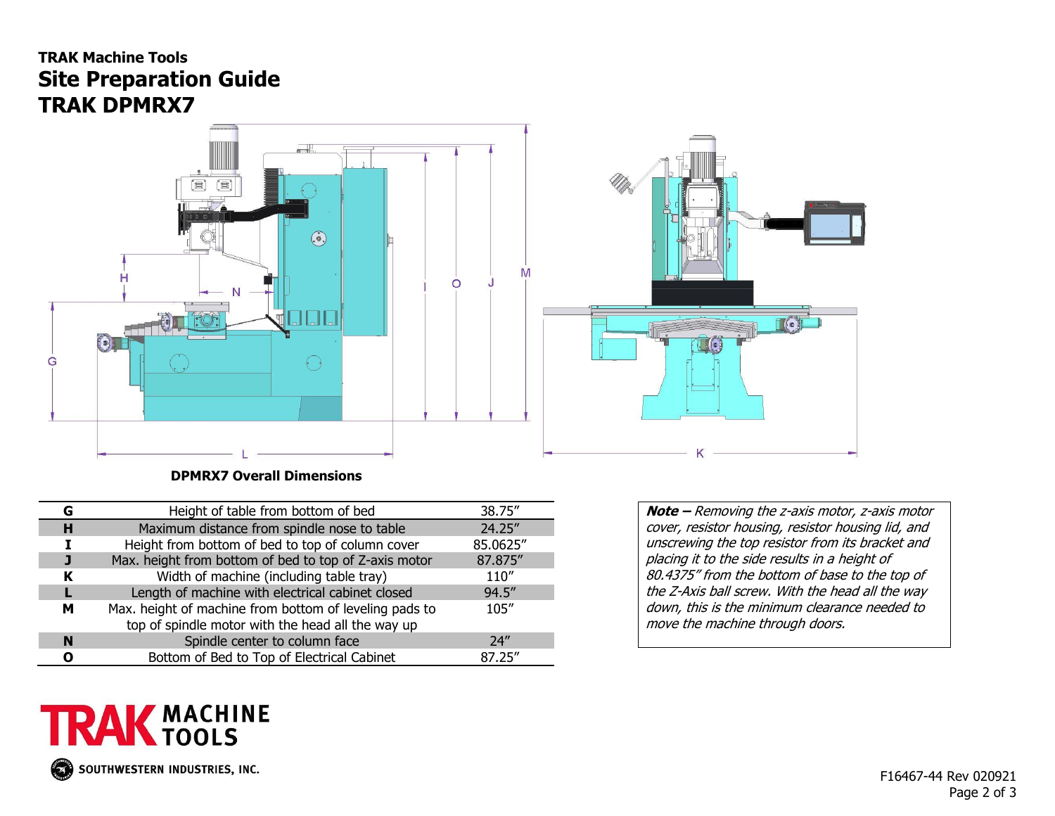### **TRAK Machine Tools Site Preparation Guide TRAK DPMRX7**



 **DPMRX7 Overall Dimensions**

| G | Height of table from bottom of bed                                                                          | 38.75"   |
|---|-------------------------------------------------------------------------------------------------------------|----------|
| н | Maximum distance from spindle nose to table                                                                 | 24.25"   |
|   | Height from bottom of bed to top of column cover                                                            | 85.0625" |
|   | Max. height from bottom of bed to top of Z-axis motor                                                       | 87.875"  |
| ĸ | Width of machine (including table tray)                                                                     | 110''    |
|   | Length of machine with electrical cabinet closed                                                            | 94.5"    |
| м | Max. height of machine from bottom of leveling pads to<br>top of spindle motor with the head all the way up | 105''    |
| N | Spindle center to column face                                                                               | 74''     |
| n | Bottom of Bed to Top of Electrical Cabinet                                                                  | 87.25"   |

**Note –** Removing the z-axis motor, z-axis motor cover, resistor housing, resistor housing lid, and unscrewing the top resistor from its bracket and placing it to the side results in a height of 80.4375" from the bottom of base to the top of the Z-Axis ball screw. With the head all the way down, this is the minimum clearance needed to move the machine through doors.

# **TRAK MACHINE**  $\mathcal{F}^{\text{st}}$ SOUTHWESTERN INDUSTRIES, INC.

 F16467-44 Rev 020921 Page 2 of 3